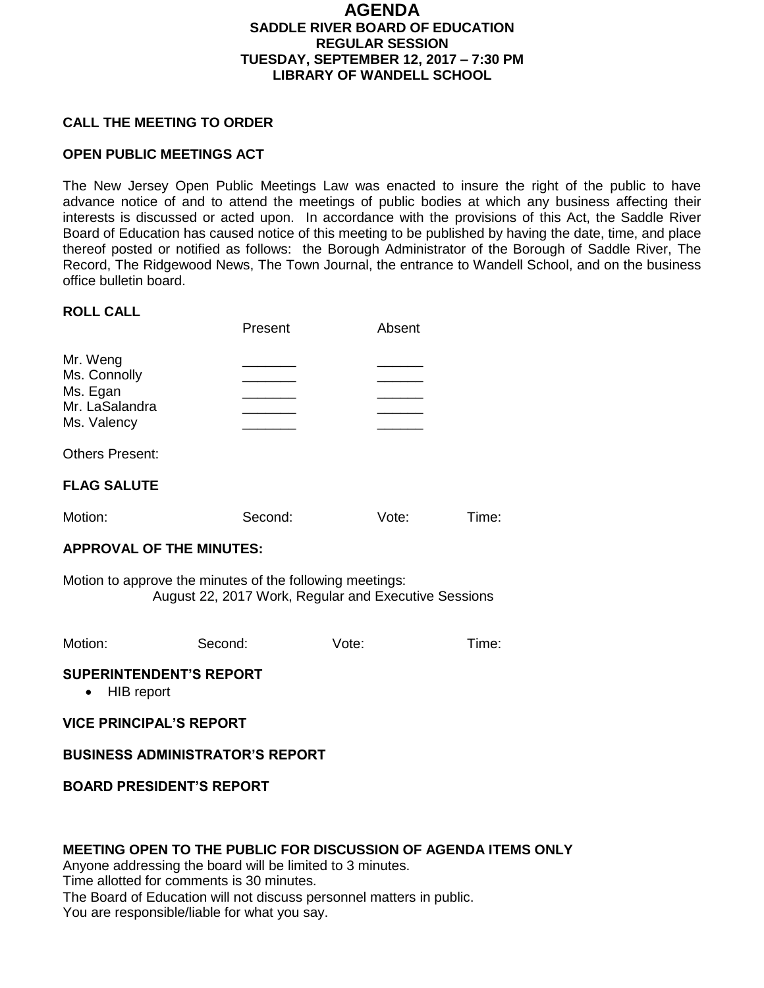### **AGENDA SADDLE RIVER BOARD OF EDUCATION REGULAR SESSION TUESDAY, SEPTEMBER 12, 2017 – 7:30 PM LIBRARY OF WANDELL SCHOOL**

#### **CALL THE MEETING TO ORDER**

#### **OPEN PUBLIC MEETINGS ACT**

The New Jersey Open Public Meetings Law was enacted to insure the right of the public to have advance notice of and to attend the meetings of public bodies at which any business affecting their interests is discussed or acted upon. In accordance with the provisions of this Act, the Saddle River Board of Education has caused notice of this meeting to be published by having the date, time, and place thereof posted or notified as follows: the Borough Administrator of the Borough of Saddle River, The Record, The Ridgewood News, The Town Journal, the entrance to Wandell School, and on the business office bulletin board.

#### **ROLL CALL**

|                                                                       | Present | Absent |
|-----------------------------------------------------------------------|---------|--------|
| Mr. Weng<br>Ms. Connolly<br>Ms. Egan<br>Mr. LaSalandra<br>Ms. Valency |         |        |
| <b>Others Present:</b>                                                |         |        |
| <b>FLAG SALUTE</b>                                                    |         |        |
|                                                                       |         |        |

# **APPROVAL OF THE MINUTES:**

Motion to approve the minutes of the following meetings: August 22, 2017 Work, Regular and Executive Sessions

Motion: Second: Vote: Time:

Motion: Second: Vote: Time:

### **SUPERINTENDENT'S REPORT**

• HIB report

**VICE PRINCIPAL'S REPORT**

### **BUSINESS ADMINISTRATOR'S REPORT**

**BOARD PRESIDENT'S REPORT**

#### **MEETING OPEN TO THE PUBLIC FOR DISCUSSION OF AGENDA ITEMS ONLY**

Anyone addressing the board will be limited to 3 minutes.

Time allotted for comments is 30 minutes.

The Board of Education will not discuss personnel matters in public.

You are responsible/liable for what you say.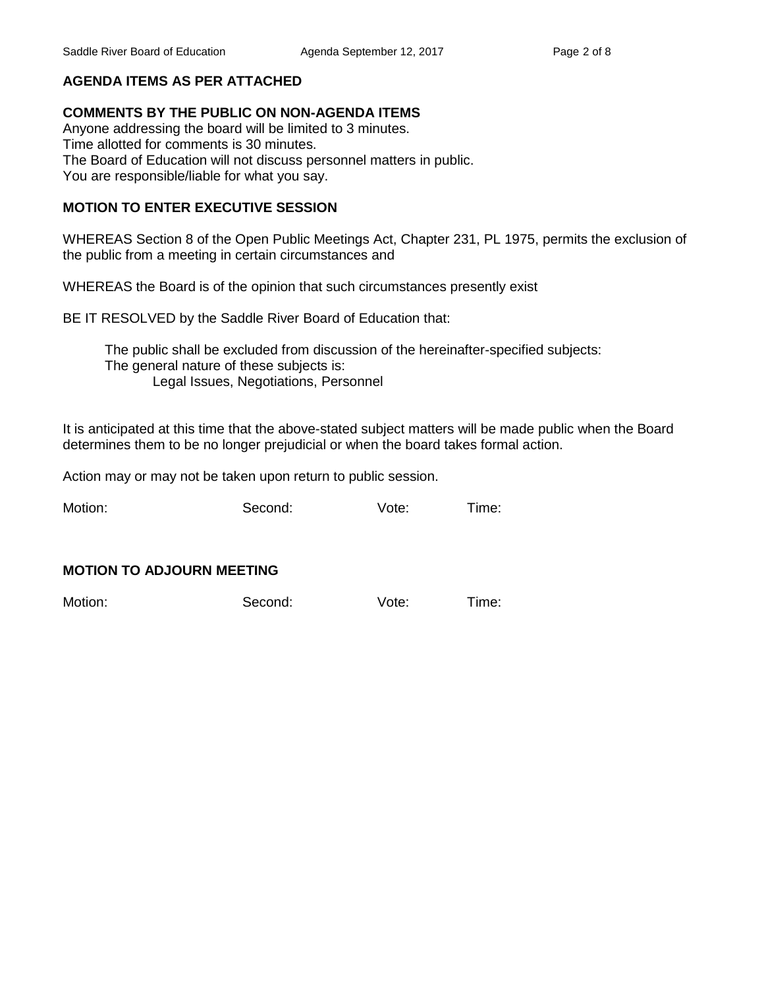### **AGENDA ITEMS AS PER ATTACHED**

#### **COMMENTS BY THE PUBLIC ON NON-AGENDA ITEMS**

Anyone addressing the board will be limited to 3 minutes. Time allotted for comments is 30 minutes. The Board of Education will not discuss personnel matters in public. You are responsible/liable for what you say.

### **MOTION TO ENTER EXECUTIVE SESSION**

WHEREAS Section 8 of the Open Public Meetings Act, Chapter 231, PL 1975, permits the exclusion of the public from a meeting in certain circumstances and

WHEREAS the Board is of the opinion that such circumstances presently exist

BE IT RESOLVED by the Saddle River Board of Education that:

 The public shall be excluded from discussion of the hereinafter-specified subjects: The general nature of these subjects is: Legal Issues, Negotiations, Personnel

It is anticipated at this time that the above-stated subject matters will be made public when the Board determines them to be no longer prejudicial or when the board takes formal action.

Action may or may not be taken upon return to public session.

Motion: Second: Vote: Time:

#### **MOTION TO ADJOURN MEETING**

Motion: Second: Vote: Time: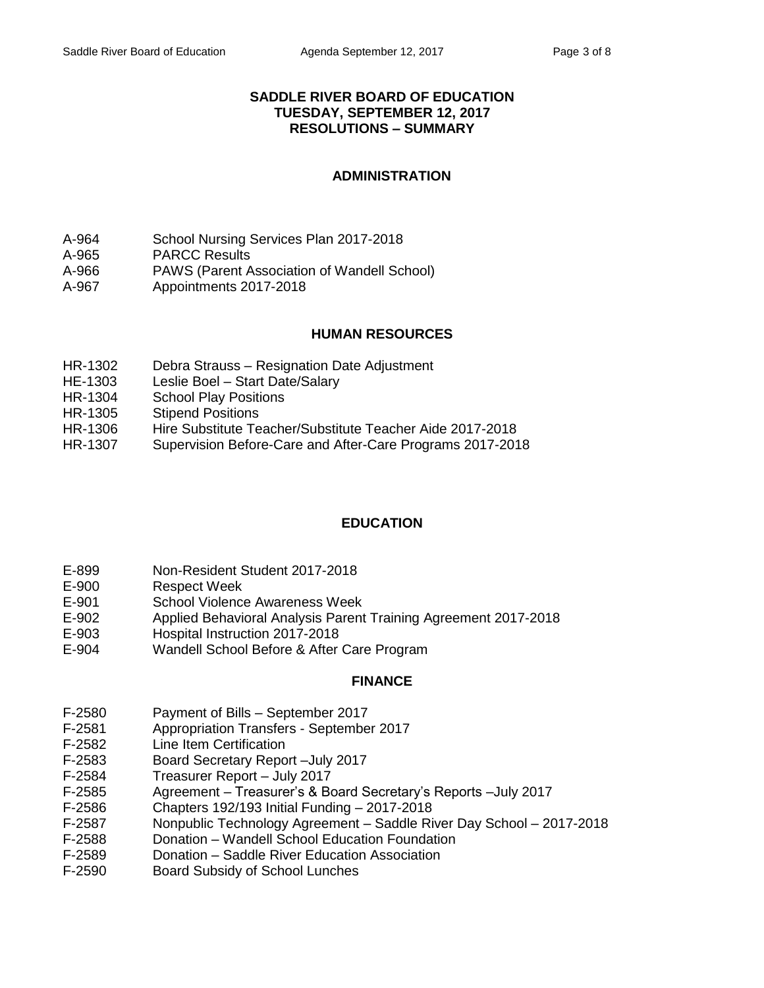### **SADDLE RIVER BOARD OF EDUCATION TUESDAY, SEPTEMBER 12, 2017 RESOLUTIONS – SUMMARY**

### **ADMINISTRATION**

- A-964 School Nursing Services Plan 2017-2018
- A-965 PARCC Results
- A-966 PAWS (Parent Association of Wandell School)
- A-967 Appointments 2017-2018

### **HUMAN RESOURCES**

- HR-1302 Debra Strauss Resignation Date Adjustment
- HE-1303 Leslie Boel Start Date/Salary
- HR-1304 School Play Positions
- HR-1305 Stipend Positions
- HR-1306 Hire Substitute Teacher/Substitute Teacher Aide 2017-2018
- HR-1307 Supervision Before-Care and After-Care Programs 2017-2018

### **EDUCATION**

- E-899 Non-Resident Student 2017-2018
- E-900 Respect Week
- E-901 School Violence Awareness Week
- E-902 Applied Behavioral Analysis Parent Training Agreement 2017-2018
- E-903 Hospital Instruction 2017-2018
- E-904 Wandell School Before & After Care Program

### **FINANCE**

- F-2580 Payment of Bills September 2017
- F-2581 Appropriation Transfers September 2017
- F-2582 Line Item Certification
- F-2583 Board Secretary Report –July 2017
- F-2584 Treasurer Report July 2017
- F-2585 Agreement Treasurer's & Board Secretary's Reports –July 2017
- F-2586 Chapters 192/193 Initial Funding 2017-2018
- F-2587 Nonpublic Technology Agreement Saddle River Day School 2017-2018
- F-2588 Donation Wandell School Education Foundation
- F-2589 Donation Saddle River Education Association
- F-2590 Board Subsidy of School Lunches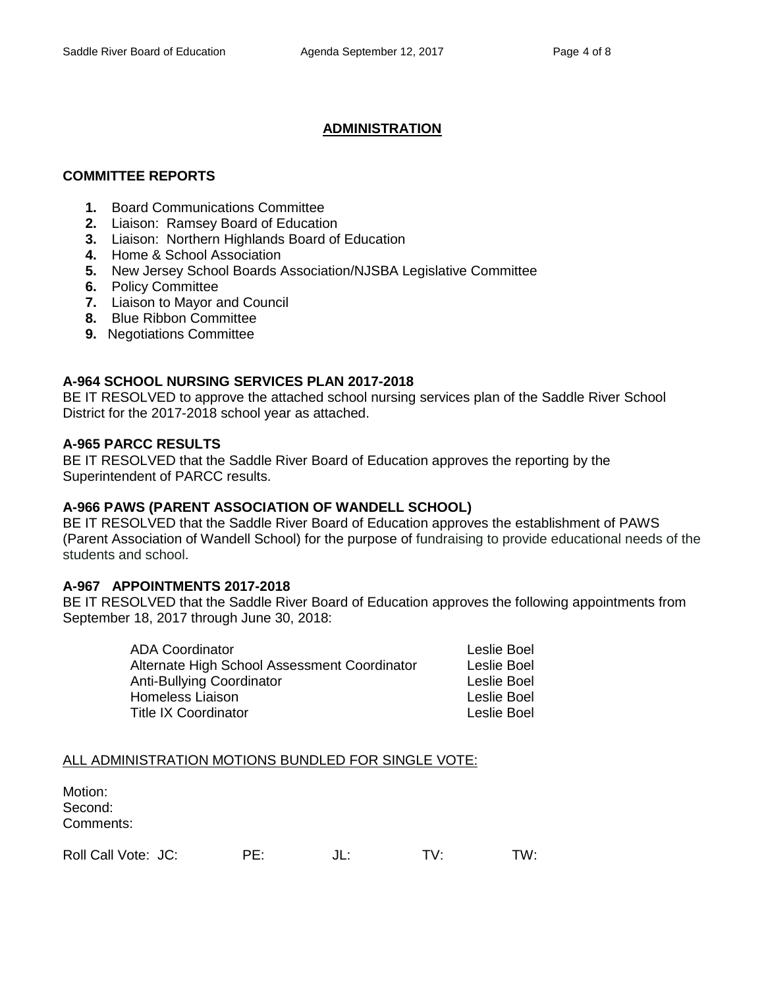### **ADMINISTRATION**

### **COMMITTEE REPORTS**

- **1.** Board Communications Committee
- **2.** Liaison: Ramsey Board of Education
- **3.** Liaison: Northern Highlands Board of Education
- **4.** Home & School Association
- **5.** New Jersey School Boards Association/NJSBA Legislative Committee
- **6.** Policy Committee
- **7.** Liaison to Mayor and Council
- **8.** Blue Ribbon Committee
- **9.** Negotiations Committee

### **A-964 SCHOOL NURSING SERVICES PLAN 2017-2018**

BE IT RESOLVED to approve the attached school nursing services plan of the Saddle River School District for the 2017-2018 school year as attached.

#### **A-965 PARCC RESULTS**

BE IT RESOLVED that the Saddle River Board of Education approves the reporting by the Superintendent of PARCC results.

### **A-966 PAWS (PARENT ASSOCIATION OF WANDELL SCHOOL)**

BE IT RESOLVED that the Saddle River Board of Education approves the establishment of PAWS (Parent Association of Wandell School) for the purpose of fundraising to provide educational needs of the students and school.

#### **A-967 APPOINTMENTS 2017-2018**

BE IT RESOLVED that the Saddle River Board of Education approves the following appointments from September 18, 2017 through June 30, 2018:

| <b>ADA Coordinator</b>                       | <b>Leslie Boel</b> |
|----------------------------------------------|--------------------|
| Alternate High School Assessment Coordinator | Leslie Boel        |
| Anti-Bullying Coordinator                    | Leslie Boel        |
| <b>Homeless Liaison</b>                      | Leslie Boel        |
| <b>Title IX Coordinator</b>                  | <b>Leslie Boel</b> |

### ALL ADMINISTRATION MOTIONS BUNDLED FOR SINGLE VOTE:

| Motion:<br>Second:<br>Comments: |     |     |     |     |
|---------------------------------|-----|-----|-----|-----|
| Roll Call Vote: JC:             | PF. | JL: | TV· | TW∙ |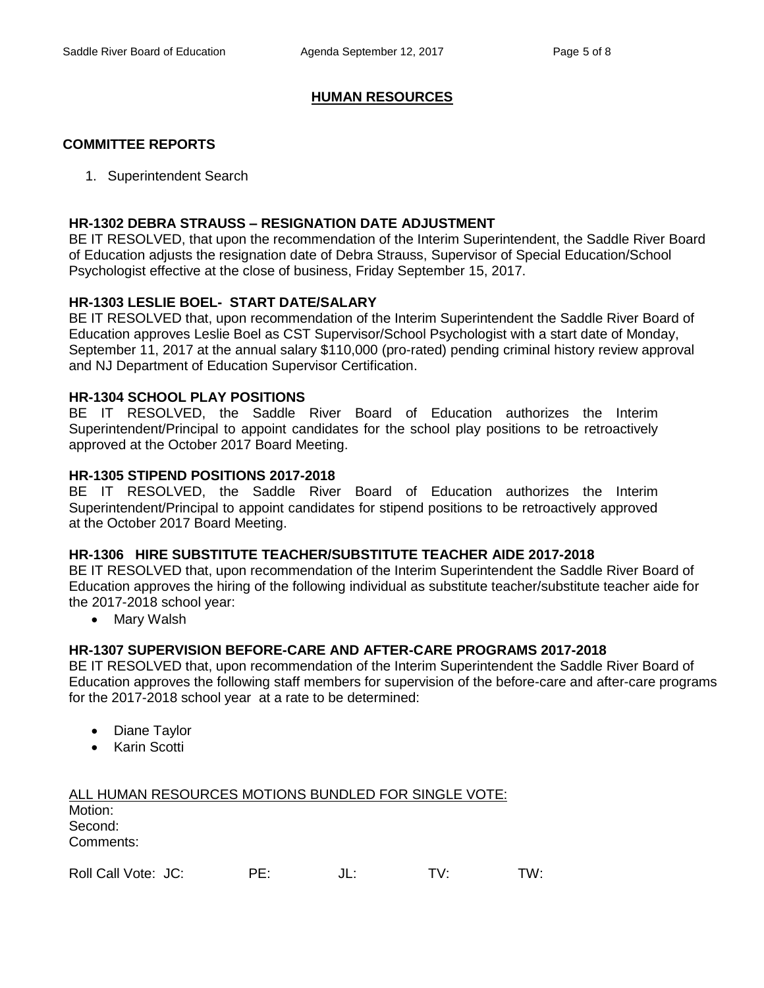#### **HUMAN RESOURCES**

#### **COMMITTEE REPORTS**

1. Superintendent Search

#### **HR-1302 DEBRA STRAUSS – RESIGNATION DATE ADJUSTMENT**

BE IT RESOLVED, that upon the recommendation of the Interim Superintendent, the Saddle River Board of Education adjusts the resignation date of Debra Strauss, Supervisor of Special Education/School Psychologist effective at the close of business, Friday September 15, 2017.

### **HR-1303 LESLIE BOEL- START DATE/SALARY**

BE IT RESOLVED that, upon recommendation of the Interim Superintendent the Saddle River Board of Education approves Leslie Boel as CST Supervisor/School Psychologist with a start date of Monday, September 11, 2017 at the annual salary \$110,000 (pro-rated) pending criminal history review approval and NJ Department of Education Supervisor Certification.

#### **HR-1304 SCHOOL PLAY POSITIONS**

BE IT RESOLVED, the Saddle River Board of Education authorizes the Interim Superintendent/Principal to appoint candidates for the school play positions to be retroactively approved at the October 2017 Board Meeting.

#### **HR-1305 STIPEND POSITIONS 2017-2018**

BE IT RESOLVED, the Saddle River Board of Education authorizes the Interim Superintendent/Principal to appoint candidates for stipend positions to be retroactively approved at the October 2017 Board Meeting.

#### **HR-1306 HIRE SUBSTITUTE TEACHER/SUBSTITUTE TEACHER AIDE 2017-2018**

BE IT RESOLVED that, upon recommendation of the Interim Superintendent the Saddle River Board of Education approves the hiring of the following individual as substitute teacher/substitute teacher aide for the 2017-2018 school year:

• Mary Walsh

### **HR-1307 SUPERVISION BEFORE-CARE AND AFTER-CARE PROGRAMS 2017-2018**

BE IT RESOLVED that, upon recommendation of the Interim Superintendent the Saddle River Board of Education approves the following staff members for supervision of the before-care and after-care programs for the 2017-2018 school year at a rate to be determined:

- Diane Taylor
- Karin Scotti

| ALL HUMAN RESOURCES MOTIONS BUNDLED FOR SINGLE VOTE: |  |
|------------------------------------------------------|--|
| Motion:                                              |  |
| Second:                                              |  |
| Comments:                                            |  |

| Roll Call Vote: JC: | DE |  |  | TW: |
|---------------------|----|--|--|-----|
|---------------------|----|--|--|-----|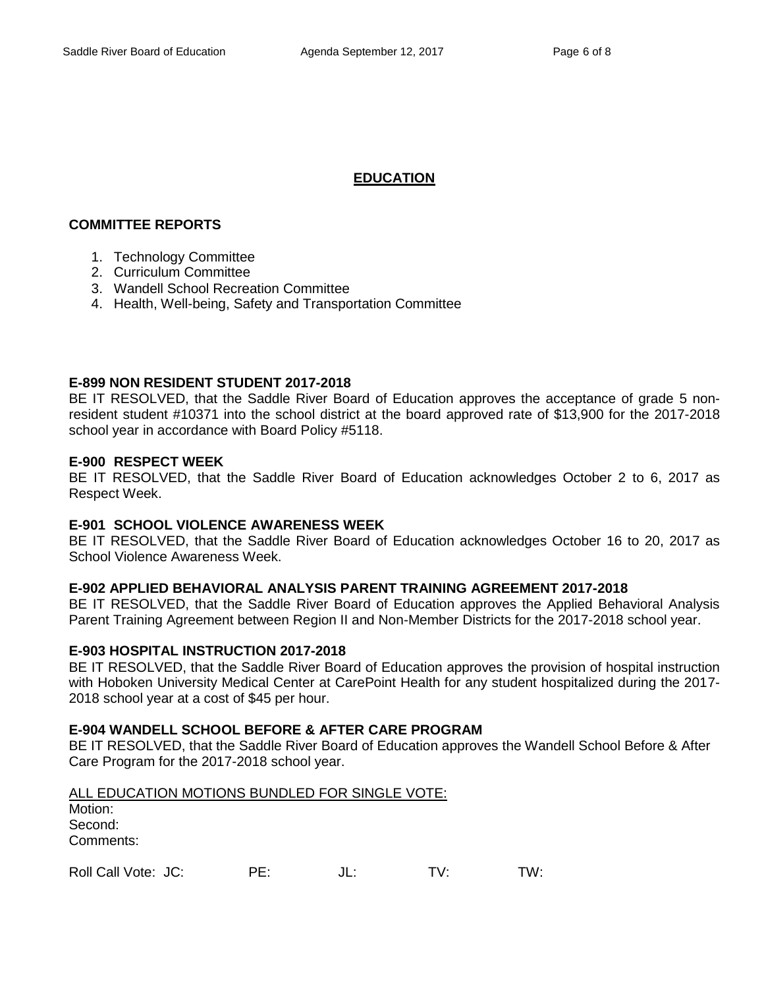## **EDUCATION**

### **COMMITTEE REPORTS**

- 1. Technology Committee
- 2. Curriculum Committee
- 3. Wandell School Recreation Committee
- 4. Health, Well-being, Safety and Transportation Committee

### **E-899 NON RESIDENT STUDENT 2017-2018**

BE IT RESOLVED, that the Saddle River Board of Education approves the acceptance of grade 5 nonresident student #10371 into the school district at the board approved rate of \$13,900 for the 2017-2018 school year in accordance with Board Policy #5118.

### **E-900 RESPECT WEEK**

BE IT RESOLVED, that the Saddle River Board of Education acknowledges October 2 to 6, 2017 as Respect Week.

### **E-901 SCHOOL VIOLENCE AWARENESS WEEK**

BE IT RESOLVED, that the Saddle River Board of Education acknowledges October 16 to 20, 2017 as School Violence Awareness Week.

### **E-902 APPLIED BEHAVIORAL ANALYSIS PARENT TRAINING AGREEMENT 2017-2018**

BE IT RESOLVED, that the Saddle River Board of Education approves the Applied Behavioral Analysis Parent Training Agreement between Region II and Non-Member Districts for the 2017-2018 school year.

### **E-903 HOSPITAL INSTRUCTION 2017-2018**

BE IT RESOLVED, that the Saddle River Board of Education approves the provision of hospital instruction with Hoboken University Medical Center at CarePoint Health for any student hospitalized during the 2017- 2018 school year at a cost of \$45 per hour.

### **E-904 WANDELL SCHOOL BEFORE & AFTER CARE PROGRAM**

BE IT RESOLVED, that the Saddle River Board of Education approves the Wandell School Before & After Care Program for the 2017-2018 school year.

| ALL EDUCATION MOTIONS BUNDLED FOR SINGLE VOTE: |  |
|------------------------------------------------|--|
| Motion:                                        |  |
| Second:                                        |  |
| Comments:                                      |  |
|                                                |  |

|  | Roll Call Vote: JC: | PE: | JL: |  | TW: |
|--|---------------------|-----|-----|--|-----|
|--|---------------------|-----|-----|--|-----|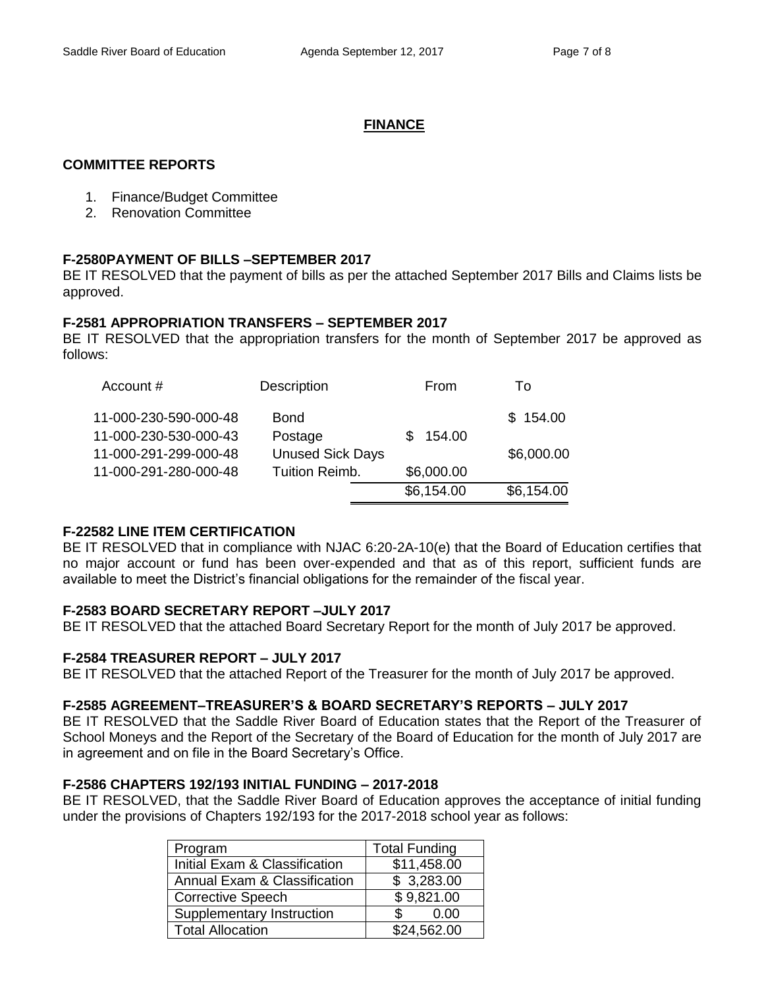### **FINANCE**

### **COMMITTEE REPORTS**

- 1. Finance/Budget Committee
- 2. Renovation Committee

### **F-2580PAYMENT OF BILLS –SEPTEMBER 2017**

BE IT RESOLVED that the payment of bills as per the attached September 2017 Bills and Claims lists be approved.

### **F-2581 APPROPRIATION TRANSFERS – SEPTEMBER 2017**

BE IT RESOLVED that the appropriation transfers for the month of September 2017 be approved as follows:

| Account #             | Description             | From       | To         |
|-----------------------|-------------------------|------------|------------|
| 11-000-230-590-000-48 | <b>Bond</b>             |            | \$154.00   |
| 11-000-230-530-000-43 | Postage                 | 154.00     |            |
| 11-000-291-299-000-48 | <b>Unused Sick Days</b> |            | \$6,000.00 |
| 11-000-291-280-000-48 | <b>Tuition Reimb.</b>   | \$6,000.00 |            |
|                       |                         | \$6,154.00 | \$6,154.00 |

### **F-22582 LINE ITEM CERTIFICATION**

BE IT RESOLVED that in compliance with NJAC 6:20-2A-10(e) that the Board of Education certifies that no major account or fund has been over-expended and that as of this report, sufficient funds are available to meet the District's financial obligations for the remainder of the fiscal year.

### **F-2583 BOARD SECRETARY REPORT –JULY 2017**

BE IT RESOLVED that the attached Board Secretary Report for the month of July 2017 be approved.

### **F-2584 TREASURER REPORT – JULY 2017**

BE IT RESOLVED that the attached Report of the Treasurer for the month of July 2017 be approved.

#### **F-2585 AGREEMENT–TREASURER'S & BOARD SECRETARY'S REPORTS – JULY 2017**

BE IT RESOLVED that the Saddle River Board of Education states that the Report of the Treasurer of School Moneys and the Report of the Secretary of the Board of Education for the month of July 2017 are in agreement and on file in the Board Secretary's Office.

#### **F-2586 CHAPTERS 192/193 INITIAL FUNDING – 2017-2018**

BE IT RESOLVED, that the Saddle River Board of Education approves the acceptance of initial funding under the provisions of Chapters 192/193 for the 2017-2018 school year as follows:

| Program                       | <b>Total Funding</b> |
|-------------------------------|----------------------|
| Initial Exam & Classification | \$11,458.00          |
| Annual Exam & Classification  | \$3,283.00           |
| <b>Corrective Speech</b>      | \$9,821.00           |
| Supplementary Instruction     | 0.00                 |
| <b>Total Allocation</b>       | \$24,562.00          |